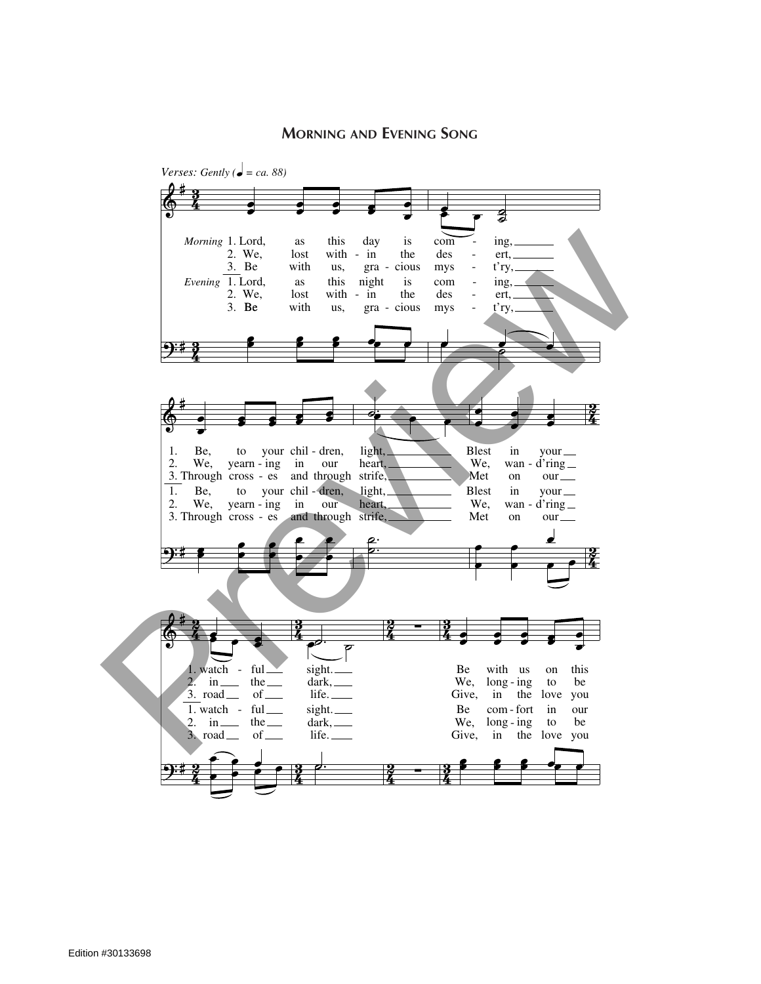